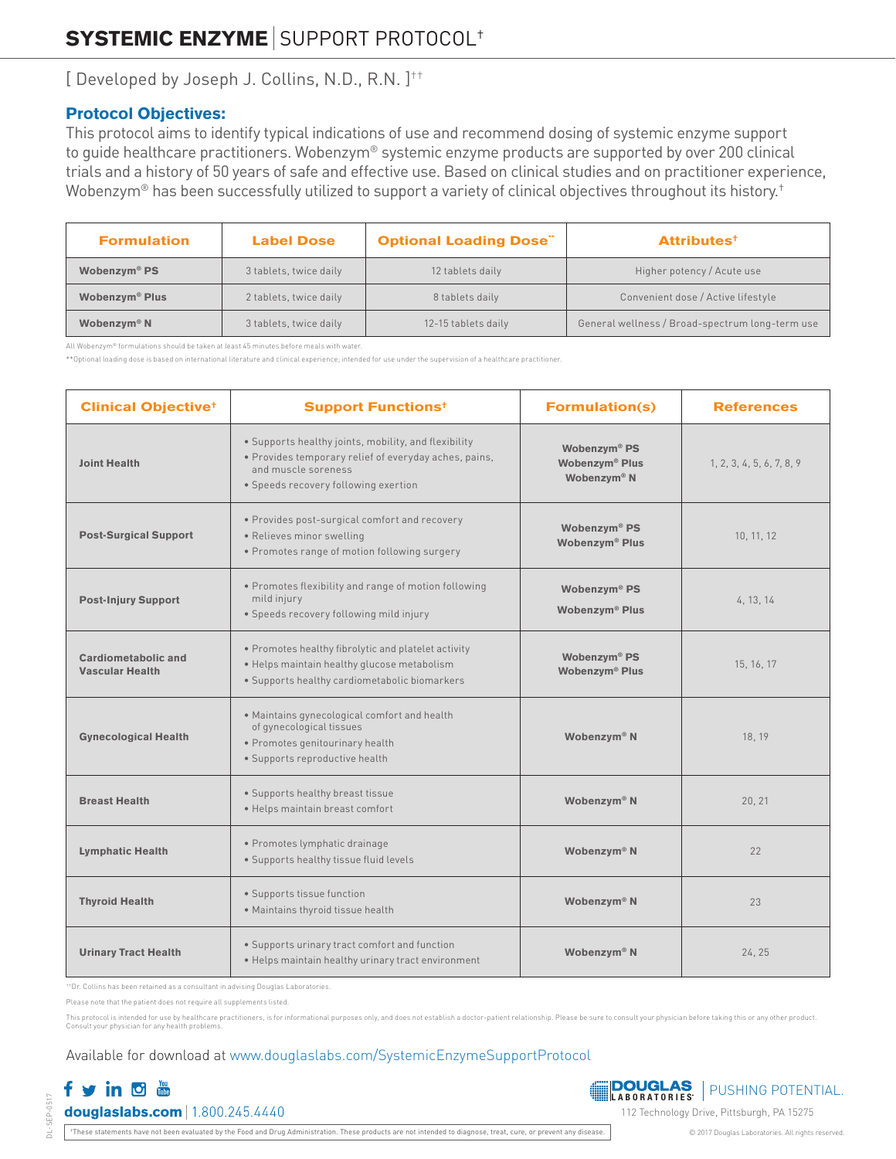[ Developed by Joseph J. Collins, N.D., R.N. ] ††

### Protocol Objectives:

This protocol aims to identify typical indications of use and recommend dosing of systemic enzyme support to guide healthcare practitioners. Wobenzym® systemic enzyme products are supported by over 200 clinical trials and a history of 50 years of safe and effective use. Based on clinical studies and on practitioner experience, Wobenzym® has been successfully utilized to support a variety of clinical objectives throughout its history.<sup>†</sup>

| <b>Formulation</b>               | <b>Label Dose</b>      | <b>Optional Loading Dose"</b> | <b>Attributes<sup>+</sup></b>                   |  |
|----------------------------------|------------------------|-------------------------------|-------------------------------------------------|--|
| Wobenzym <sup>®</sup> PS         | 3 tablets, twice daily | 12 tablets daily              | Higher potency / Acute use                      |  |
| <b>Wobenzym<sup>®</sup> Plus</b> | 2 tablets, twice daily | 8 tablets daily               | Convenient dose / Active lifestyle              |  |
| Wobenzym <sup>®</sup> N          | 3 tablets, twice daily | 12-15 tablets daily           | General wellness / Broad-spectrum long-term use |  |

All Wobenzym® formulations should be taken at least 45 minutes before meals with water.

\*\*Optional loading dose is based on international literature and clinical experience; intended for use under the supervision of a healthcare practitioner

| <b>Clinical Objective<sup>+</sup></b>         | <b>Support Functions<sup>t</sup></b>                                                                                                                                                                          | <b>Formulation(s)</b>                                                             | <b>References</b>         |
|-----------------------------------------------|---------------------------------------------------------------------------------------------------------------------------------------------------------------------------------------------------------------|-----------------------------------------------------------------------------------|---------------------------|
| <b>Joint Health</b>                           | · Supports healthy joints, mobility, and flexibility<br>· Provides temporary relief of everyday aches, pains,<br>and muscle soreness<br>• Speeds recovery following exertion                                  | Wobenzym <sup>®</sup> PS<br>Wobenzym <sup>®</sup> Plus<br>Wobenzym <sup>®</sup> N | 1, 2, 3, 4, 5, 6, 7, 8, 9 |
| <b>Post-Surgical Support</b>                  | · Provides post-surgical comfort and recovery<br>· Relieves minor swelling<br>· Promotes range of motion following surgery                                                                                    | Wobenzym <sup>®</sup> PS<br>Wobenzym® Plus                                        | 10, 11, 12                |
| <b>Post-Injury Support</b>                    | . Promotes flexibility and range of motion following<br>mild injury<br>· Speeds recovery following mild injury                                                                                                | Wobenzym® PS<br>Wobenzym <sup>®</sup> Plus                                        | 4, 13, 14                 |
| Cardiometabolic and<br><b>Vascular Health</b> | . Promotes healthy fibrolytic and platelet activity<br>Wobenzym <sup>®</sup> PS<br>· Helps maintain healthy glucose metabolism<br>Wobenzym <sup>®</sup> Plus<br>· Supports healthy cardiometabolic biomarkers |                                                                                   | 15, 16, 17                |
| <b>Gynecological Health</b>                   | . Maintains gynecological comfort and health<br>of gynecological tissues<br>Wobenzym <sup>®</sup> N<br>· Promotes genitourinary health<br>· Supports reproductive health                                      |                                                                                   | 18, 19                    |
| <b>Breast Health</b>                          | · Supports healthy breast tissue<br>· Helps maintain breast comfort                                                                                                                                           | Wobenzym <sup>®</sup> N                                                           | 20, 21                    |
| <b>Lymphatic Health</b>                       | · Promotes lymphatic drainage<br>· Supports healthy tissue fluid levels                                                                                                                                       | Wobenzym <sup>®</sup> N                                                           | 22                        |
| <b>Thyroid Health</b>                         | · Supports tissue function<br>· Maintains thyroid tissue health                                                                                                                                               | Wobenzym <sup>®</sup> N                                                           | 23                        |
| <b>Urinary Tract Health</b>                   | • Supports urinary tract comfort and function<br>. Helps maintain healthy urinary tract environment                                                                                                           | Wobenzym <sup>®</sup> N                                                           | 24, 25                    |

††Dr. Collins has been retained as a consultant in advising Douglas Laboratories.

Please note that the patient does not require all supplements listed.

This protocol is intended for use by healthcare practitioners, is for informational purposes only, and does not establish a doctor-patient relationship. Please be sure to consult your physician before taking this or any ot Consult your physician for any health problem

### Available for download at www.douglaslabs.com/SystemicEnzymeSupportProtocol

# fvind douglaslabs.com | 1.800.245.4440

DL-SEP-0517

SEP-0517



†These statements have not been evaluated by the Food and Drug Administration. These products are not intended to diagnose, treat, cure, or prevent any disease. © 2017 Douglas Laboratories. All rights reserved.